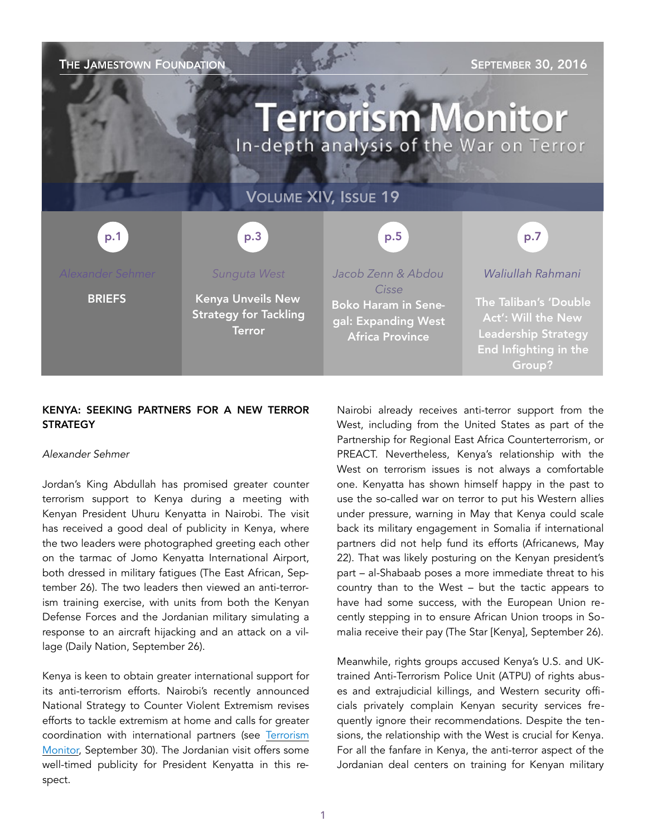

## KENYA: SEEKING PARTNERS FOR A NEW TERROR **STRATEGY**

### *Alexander Sehmer*

Jordan's King Abdullah has promised greater counter terrorism support to Kenya during a meeting with Kenyan President Uhuru Kenyatta in Nairobi. The visit has received a good deal of publicity in Kenya, where the two leaders were photographed greeting each other on the tarmac of Jomo Kenyatta International Airport, both dressed in military fatigues [\(The East African,](http://www.theeastafrican.co.ke/news/Kenya-eyes-security-deals-with-Jordan-as-King-Abdullah-II-visits/2558-3395340-95wm05/index.html) September 26). The two leaders then viewed an anti-terrorism training exercise, with units from both the Kenyan Defense Forces and the Jordanian military simulating a response to an aircraft hijacking and an attack on a village ([Daily Nation,](http://www.nation.co.ke/news/kenyan-and-jordanian-military-to-train-together-fight-terrorism/1056-3395894-aqoq0oz/) September 26).

Kenya is keen to obtain greater international support for its anti-terrorism efforts. Nairobi's recently announced National Strategy to Counter Violent Extremism revises efforts to tackle extremism at home and calls for greater coordination with international partners (see Terrorism Monitor, September 30). The Jordanian visit offers some well-timed publicity for President Kenyatta in this respect.

Nairobi already receives anti-terror support from the West, including from the United States as part of the Partnership for Regional East Africa Counterterrorism, or PREACT. Nevertheless, Kenya's relationship with the West on terrorism issues is not always a comfortable one. Kenyatta has shown himself happy in the past to use the so-called war on terror to put his Western allies under pressure, warning in May that Kenya could scale back its military engagement in Somalia if international partners did not help fund its efforts ([Africanews,](http://www.africanews.com/2016/05/22/funding-gaps-could-force-kenya-to-withdraw-troops-from-somalia/) May 22). That was likely posturing on the Kenyan president's part – al-Shabaab poses a more immediate threat to his country than to the West – but the tactic appears to have had some success, with the European Union recently stepping in to ensure African Union troops in Somalia receive their pay ([The Star](http://www.the-star.co.ke/news/2016/09/26/soldiers-in-somalia-have-received-pay_c1426498) [Kenya], September 26).

Meanwhile, rights groups accused Kenya's U.S. and UKtrained Anti-Terrorism Police Unit (ATPU) of rights abuses and extrajudicial killings, and Western security officials privately complain Kenyan security services frequently ignore their recommendations. Despite the tensions, the relationship with the West is crucial for Kenya. For all the fanfare in Kenya, the anti-terror aspect of the Jordanian deal centers on training for Kenyan military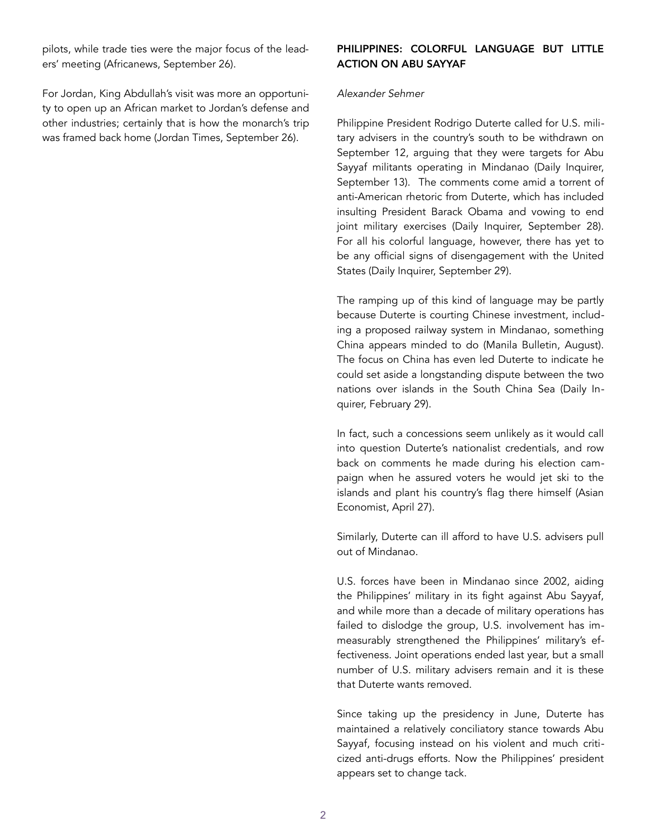pilots, while trade ties were the major focus of the leaders' meeting ([Africanews](http://www.africanews.com/2016/09/26/kenya-gets-jordanian-assistance-in-counter-terrorism-efforts/), September 26).

For Jordan, King Abdullah's visit was more an opportunity to open up an African market to Jordan's defense and other industries; certainly that is how the monarch's trip was framed back home ([Jordan Times](http://www.jordantimes.com/news/local/jordan-kenya-set-boost-trade-anti-terrorism-cooperation), September 26).

## PHILIPPINES: COLORFUL LANGUAGE BUT LITTLE ACTION ON ABU SAYYAF

### *Alexander Sehmer*

Philippine President Rodrigo Duterte called for U.S. military advisers in the country's south to be withdrawn on September 12, arguing that they were targets for Abu Sayyaf militants operating in Mindanao ([Daily Inquirer,](http://globalnation.inquirer.net/144689/duterte-us-forces-must-go) September 13). The comments come amid a torrent of anti-American rhetoric from Duterte, which has included insulting President Barack Obama and vowing to end joint military exercises ([Daily Inquirer,](http://globalnation.inquirer.net/145669/2016-ph-us-war-games-will-be-the-last-duterte) September 28). For all his colorful language, however, there has yet to be any official signs of disengagement with the United States ([Daily Inquirer,](http://globalnation.inquirer.net/145722/still-business-as-usual-for-ph-us-ties-says-envoy) September 29).

The ramping up of this kind of language may be partly because Duterte is courting Chinese investment, including a proposed railway system in Mindanao, something China appears minded to do [\(Manila Bulletin,](http://www.mb.com.ph/china-offers-to-build-mindanao-wide-railway-system/) August). The focus on China has even led Duterte to indicate he could set aside a longstanding dispute between the two [nations over islands in the South China Sea \(Daily In](http://globalnation.inquirer.net/137093/duterte-tells-china-build-us-a-railway-and-lets-set-aside-differences-for-a-while)quirer, February 29).

In fact, such a concessions seem unlikely as it would call into question Duterte's nationalist credentials, and row back on comments he made during his election campaign when he assured voters he would jet ski to the [islands and plant his country's flag there himself \(Asian](http://aseaneconomist.com/duterte-aims-to-retake-spratlys-on-jet-ski/)  Economist, April 27).

Similarly, Duterte can ill afford to have U.S. advisers pull out of Mindanao.

U.S. forces have been in Mindanao since 2002, aiding the Philippines' military in its fight against Abu Sayyaf, and while more than a decade of military operations has failed to dislodge the group, U.S. involvement has immeasurably strengthened the Philippines' military's effectiveness. Joint operations ended last year, but a small number of U.S. military advisers remain and it is these that Duterte wants removed.

Since taking up the presidency in June, Duterte has maintained a relatively conciliatory stance towards Abu Sayyaf, focusing instead on his violent and much criticized anti-drugs efforts. Now the Philippines' president appears set to change tack.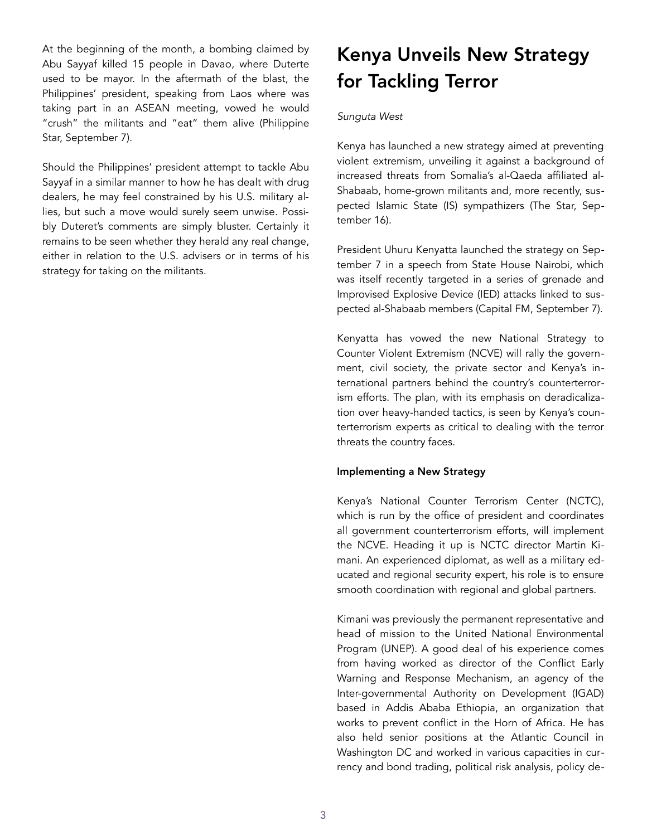At the beginning of the month, a bombing claimed by Abu Sayyaf killed 15 people in Davao, where Duterte used to be mayor. In the aftermath of the blast, the Philippines' president, speaking from Laos where was taking part in an ASEAN meeting, vowed he would ["crush" the militants and "eat" them alive \(Philippine](http://www.philstar.com/headlines/2016/09/07/1621278/rody-davao-bombers-i-will-eat-you-alive)  Star, September 7).

Should the Philippines' president attempt to tackle Abu Sayyaf in a similar manner to how he has dealt with drug dealers, he may feel constrained by his U.S. military allies, but such a move would surely seem unwise. Possibly Duteret's comments are simply bluster. Certainly it remains to be seen whether they herald any real change, either in relation to the U.S. advisers or in terms of his strategy for taking on the militants.

## Kenya Unveils New Strategy for Tackling Terror

### *Sunguta West*

Kenya has launched a new strategy aimed at preventing violent extremism, unveiling it against a background of increased threats from Somalia's al-Qaeda affiliated al-Shabaab, home-grown militants and, more recently, suspected Islamic State (IS) sympathizers ([The Star,](http://www.the-star.co.ke/news/2016/09/16/kenya-probing-isis-link-in-mombasa-police-station-attack-kiraithe_c1421725) September 16).

President Uhuru Kenyatta launched the strategy on September 7 in a speech from State House Nairobi, which was itself recently targeted in a series of grenade and Improvised Explosive Device (IED) attacks linked to suspected al-Shabaab members [\(Capital FM,](http://www.capitalfm.co.ke/news/2016/09/president-kenyatta-launches-new-strategy-fight-extremism-terror/) September 7).

Kenyatta has vowed the new National Strategy to Counter Violent Extremism (NCVE) will rally the government, civil society, the private sector and Kenya's international partners behind the country's counterterrorism efforts. The plan, with its emphasis on deradicalization over heavy-handed tactics, is seen by Kenya's counterterrorism experts as critical to dealing with the terror threats the country faces.

#### Implementing a New Strategy

Kenya's National Counter Terrorism Center (NCTC), which is run by the office of president and coordinates all government counterterrorism efforts, will implement the NCVE. Heading it up is NCTC director Martin Kimani. An experienced diplomat, as well as a military educated and regional security expert, his role is to ensure smooth coordination with regional and global partners.

Kimani was previously the permanent representative and head of mission to the United National Environmental Program (UNEP). A good deal of his experience comes from having worked as director of the Conflict Early Warning and Response Mechanism, an agency of the Inter-governmental Authority on Development (IGAD) based in Addis Ababa Ethiopia, an organization that works to prevent conflict in the Horn of Africa. He has also held senior positions at the Atlantic Council in Washington DC and worked in various capacities in currency and bond trading, political risk analysis, policy de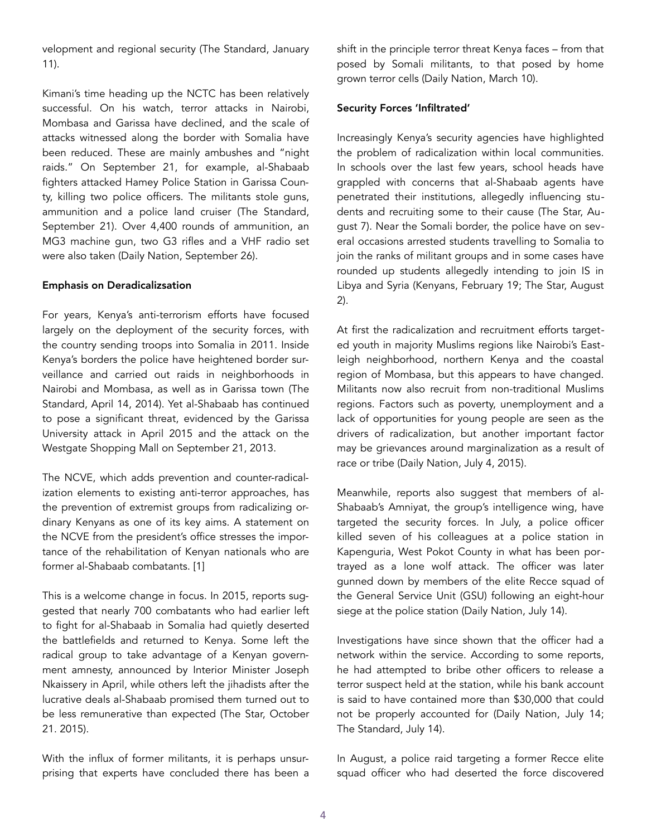velopment and regional security [\(The Standard,](http://www.standardmedia.co.ke/ktnnews/video/watch/2000102231/-kenya-s-national-counter-terrorism-plans-to-eliminate-the-threat-of-al-shabaab) January 11).

Kimani's time heading up the NCTC has been relatively successful. On his watch, terror attacks in Nairobi, Mombasa and Garissa have declined, and the scale of attacks witnessed along the border with Somalia have been reduced. These are mainly ambushes and "night raids." On September 21, for example, al-Shabaab fighters attacked Hamey Police Station in Garissa County, killing two police officers. The militants stole guns, ammunition and a police land cruiser [\(The Standard,](http://www.standardmedia.co.ke/article/2000217299/two-policemen-still-missing-after-al-shabaab-gunmen-attacked-hamey-police-post) September 21). Over 4,400 rounds of ammunition, an MG3 machine gun, two G3 rifles and a VHF radio set were also taken ([Daily Nation,](http://www.nation.co.ke/news/al-shabaab-parade-bodies-of-kenyan-police-in-somalia/1056-3395908-uphanx/index.html) September 26).

#### Emphasis on Deradicalizsation

For years, Kenya's anti-terrorism efforts have focused largely on the deployment of the security forces, with the country sending troops into Somalia in 2011. Inside Kenya's borders the police have heightened border surveillance and carried out raids in neighborhoods in [Nairobi and Mombasa, as well as in Garissa town \(The](http://www.standardmedia.co.ke/article/2000109345/100-aliens-seized-in-mombasa-swoop)  Standard, April 14, 2014). Yet al-Shabaab has continued to pose a significant threat, evidenced by the Garissa University attack in April 2015 and the attack on the Westgate Shopping Mall on September 21, 2013.

The NCVE, which adds prevention and counter-radicalization elements to existing anti-terror approaches, has the prevention of extremist groups from radicalizing ordinary Kenyans as one of its key aims. A statement on the NCVE from the president's office stresses the importance of the rehabilitation of Kenyan nationals who are former al-Shabaab combatants. [1]

This is a welcome change in focus. In 2015, reports suggested that nearly 700 combatants who had earlier left to fight for al-Shabaab in Somalia had quietly deserted the battlefields and returned to Kenya. Some left the radical group to take advantage of a Kenyan government amnesty, announced by Interior Minister Joseph Nkaissery in April, while others left the jihadists after the lucrative deals al-Shabaab promised them turned out to be less remunerative than expected [\(The Star,](http://www.the-star.co.ke/news/2015/10/21/700-al-shabaab-recruits-return-to-kenya-iom_c1227648) October 21. 2015).

With the influx of former militants, it is perhaps unsurprising that experts have concluded there has been a shift in the principle terror threat Kenya faces – from that posed by Somali militants, to that posed by home grown terror cells ([Daily Nation](http://www.nation.co.ke/oped/Opinion/Kenya-needs-a-fresh-strategy-to-counter-violent-extremism-threat/440808-3109818-5rmpyuz/index.html), March 10).

#### Security Forces 'Infiltrated'

Increasingly Kenya's security agencies have highlighted the problem of radicalization within local communities. In schools over the last few years, school heads have grappled with concerns that al-Shabaab agents have penetrated their institutions, allegedly influencing students and recruiting some to their cause ([The Star,](http://www.the-star.co.ke/news/2016/08/07/arson-attacks-radicalisation-dominate-mombasa-meeting-of-school-heads_c1399736) August 7). Near the Somali border, the police have on several occasions arrested students travelling to Somalia to join the ranks of militant groups and in some cases have rounded up students allegedly intending to join IS in Libya and Syria ([Kenyans,](https://www.kenyans.co.ke/news/kenyan-student-flying-join-isis-arrested) February 19; [The Star,](http://www.the-star.co.ke/news/2016/08/29/anti-terror-police-arrest-two-medical-interns-trying-to-join-isis_c1410818) August 2).

At first the radicalization and recruitment efforts targeted youth in majority Muslims regions like Nairobi's Eastleigh neighborhood, northern Kenya and the coastal region of Mombasa, but this appears to have changed. Militants now also recruit from non-traditional Muslims regions. Factors such as poverty, unemployment and a lack of opportunities for young people are seen as the drivers of radicalization, but another important factor may be grievances around marginalization as a result of race or tribe ([Daily Nation,](http://www.nation.co.ke/oped/Opinion/Youth-Radicalisation-Society-Security/440808-2775204-an0x1z/index.html) July 4, 2015).

Meanwhile, reports also suggest that members of al-Shabaab's Amniyat, the group's intelligence wing, have targeted the security forces. In July, a police officer killed seven of his colleagues at a police station in Kapenguria, West Pokot County in what has been portrayed as a lone wolf attack. The officer was later gunned down by members of the elite Recce squad of the General Service Unit (GSU) following an eight-hour siege at the police station ([Daily Nation,](http://www.nation.co.ke/news/1056-3294122-6gr2xvz/index.html) July 14).

Investigations have since shown that the officer had a network within the service. According to some reports, he had attempted to bribe other officers to release a terror suspect held at the station, while his bank account is said to have contained more than \$30,000 that could not be properly accounted for ([Daily Nation,](http://www.nation.co.ke/news/1056-3294122-6gr2xvz/index.html) July 14; [The Standard,](http://www.standardmedia.co.ke/article/2000208633/gunman-in-kapenguria-attack-was-a-police-officer-at-the-station) July 14).

In August, a police raid targeting a former Recce elite squad officer who had deserted the force discovered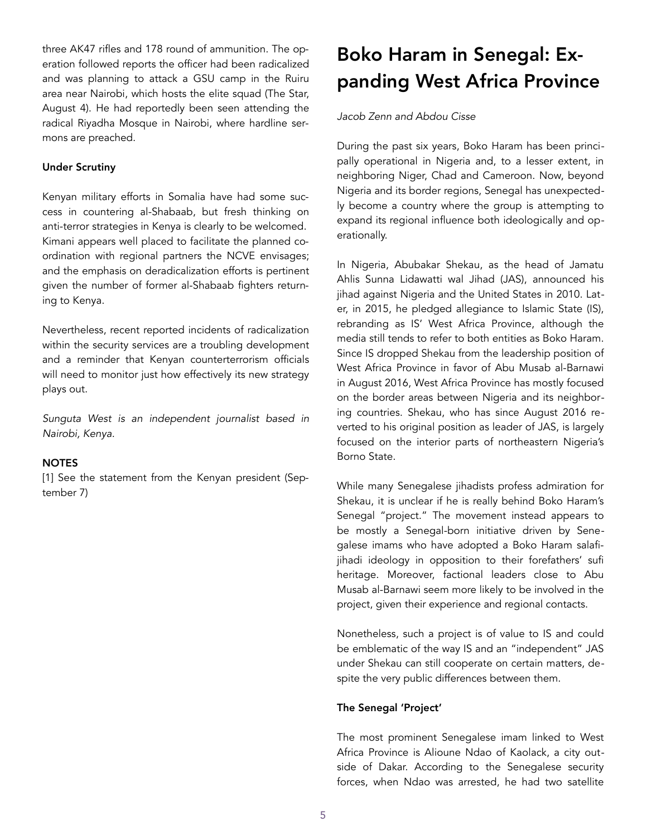three AK47 rifles and 178 round of ammunition. The operation followed reports the officer had been radicalized and was planning to attack a GSU camp in the Ruiru area near Nairobi, which hosts the elite squad [\(The Star,](http://www.the-star.co.ke/news/2016/08/04/police-foil-terror-attack-on-recce-squad-headquarters_c1398122) August 4). He had reportedly been seen attending the radical Riyadha Mosque in Nairobi, where hardline sermons are preached.

## Under Scrutiny

Kenyan military efforts in Somalia have had some success in countering al-Shabaab, but fresh thinking on anti-terror strategies in Kenya is clearly to be welcomed. Kimani appears well placed to facilitate the planned coordination with regional partners the NCVE envisages; and the emphasis on deradicalization efforts is pertinent given the number of former al-Shabaab fighters returning to Kenya.

Nevertheless, recent reported incidents of radicalization within the security services are a troubling development and a reminder that Kenyan counterterrorism officials will need to monitor just how effectively its new strategy plays out.

*Sunguta West is an independent journalist based in Nairobi, Kenya.* 

## **NOTES**

[1] See the statement from the [Kenyan president](http://www.president.go.ke/2016/09/07/resident-kenyatta-launches-new-strategy-to-fight-extremism-terror/) (September 7)

# Boko Haram in Senegal: Expanding West Africa Province

## *Jacob Zenn and Abdou Cisse*

During the past six years, Boko Haram has been principally operational in Nigeria and, to a lesser extent, in neighboring Niger, Chad and Cameroon. Now, beyond Nigeria and its border regions, Senegal has unexpectedly become a country where the group is attempting to expand its regional influence both ideologically and operationally.

In Nigeria, Abubakar Shekau, as the head of Jamatu Ahlis Sunna Lidawatti wal Jihad (JAS), announced his jihad against Nigeria and the United States in 2010. Later, in 2015, he pledged allegiance to Islamic State (IS), rebranding as IS' West Africa Province, although the media still tends to refer to both entities as Boko Haram. Since IS dropped Shekau from the leadership position of West Africa Province in favor of Abu Musab al-Barnawi in August 2016, West Africa Province has mostly focused on the border areas between Nigeria and its neighboring countries. Shekau, who has since August 2016 reverted to his original position as leader of JAS, is largely focused on the interior parts of northeastern Nigeria's Borno State.

While many Senegalese jihadists profess admiration for Shekau, it is unclear if he is really behind Boko Haram's Senegal "project." The movement instead appears to be mostly a Senegal-born initiative driven by Senegalese imams who have adopted a Boko Haram salafijihadi ideology in opposition to their forefathers' sufi heritage. Moreover, factional leaders close to Abu Musab al-Barnawi seem more likely to be involved in the project, given their experience and regional contacts.

Nonetheless, such a project is of value to IS and could be emblematic of the way IS and an "independent" JAS under Shekau can still cooperate on certain matters, despite the very public differences between them.

## The Senegal 'Project'

The most prominent Senegalese imam linked to West Africa Province is Alioune Ndao of Kaolack, a city outside of Dakar. According to the Senegalese security forces, when Ndao was arrested, he had two satellite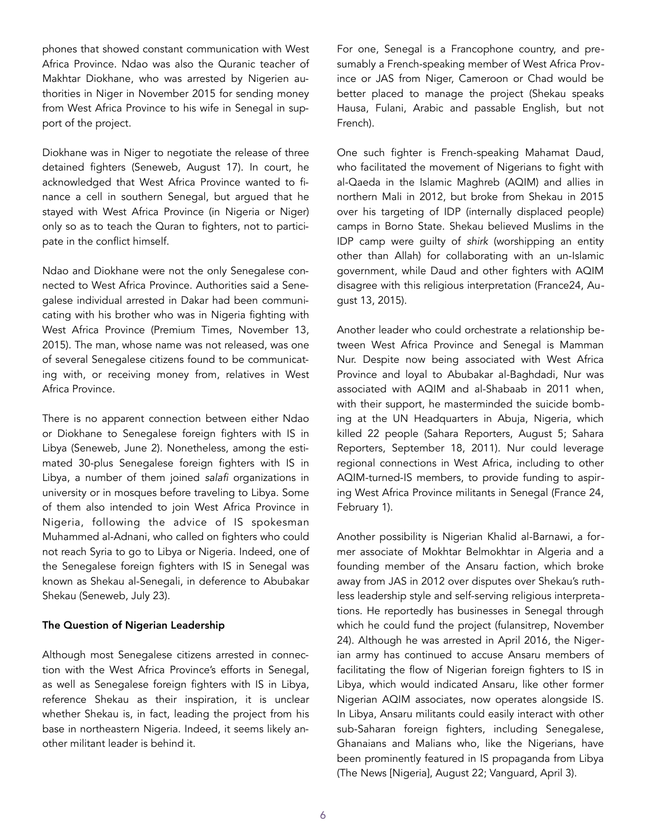phones that showed constant communication with West Africa Province. Ndao was also the Quranic teacher of Makhtar Diokhane, who was arrested by Nigerien authorities in Niger in November 2015 for sending money from West Africa Province to his wife in Senegal in support of the project.

Diokhane was in Niger to negotiate the release of three detained fighters [\(Seneweb](http://www.seneweb.com/news/Justice/diokhane-enseignait-le-coran-aux-combatt_n_190544.html), August 17). In court, he acknowledged that West Africa Province wanted to finance a cell in southern Senegal, but argued that he stayed with West Africa Province (in Nigeria or Niger) only so as to teach the Quran to fighters, not to participate in the conflict himself.

Ndao and Diokhane were not the only Senegalese connected to West Africa Province. Authorities said a Senegalese individual arrested in Dakar had been communicating with his brother who was in Nigeria fighting with West Africa Province ([Premium Times](http://www.premiumtimesng.com/news/headlines/193109-in-sweeping-offensive-senegal-arrests-imams-women-with-suspected-links-to-boko-haram.html), November 13, 2015). The man, whose name was not released, was one of several Senegalese citizens found to be communicating with, or receiving money from, relatives in West Africa Province.

There is no apparent connection between either Ndao or Diokhane to Senegalese foreign fighters with IS in Libya ([Seneweb](http://www.seneweb.com/news/Societe/le-senegal-lance-un-severe-avertissement_n_183977.html), June 2). Nonetheless, among the estimated 30-plus Senegalese foreign fighters with IS in Libya, a number of them joined *salafi* organizations in university or in mosques before traveling to Libya. Some of them also intended to join West Africa Province in Nigeria, following the advice of IS spokesman Muhammed al-Adnani, who called on fighters who could not reach Syria to go to Libya or Nigeria. Indeed, one of the Senegalese foreign fighters with IS in Senegal was known as Shekau al-Senegali, in deference to Abubakar Shekau ([Seneweb,](http://www.seneweb.com/news/Societe/23-senegalais-auraient-rejoint-boko-hara_n_188551.html) July 23).

### The Question of Nigerian Leadership

Although most Senegalese citizens arrested in connection with the West Africa Province's efforts in Senegal, as well as Senegalese foreign fighters with IS in Libya, reference Shekau as their inspiration, it is unclear whether Shekau is, in fact, leading the project from his base in northeastern Nigeria. Indeed, it seems likely another militant leader is behind it.

For one, Senegal is a Francophone country, and presumably a French-speaking member of West Africa Province or JAS from Niger, Cameroon or Chad would be better placed to manage the project (Shekau speaks Hausa, Fulani, Arabic and passable English, but not French).

One such fighter is French-speaking Mahamat Daud, who facilitated the movement of Nigerians to fight with al-Qaeda in the Islamic Maghreb (AQIM) and allies in northern Mali in 2012, but broke from Shekau in 2015 over his targeting of IDP (internally displaced people) camps in Borno State. Shekau believed Muslims in the IDP camp were guilty of *shirk* (worshipping an entity other than Allah) for collaborating with an un-Islamic government, while Daud and other fighters with AQIM disagree with this religious interpretation ([France24,](http://www.france24.com/en/20150813-new-boko-haram-leader-nigeria-chad-mahamat-daoud-shekau-islamist) August 13, 2015).

Another leader who could orchestrate a relationship between West Africa Province and Senegal is Mamman Nur. Despite now being associated with West Africa Province and loyal to Abubakar al-Baghdadi, Nur was associated with AQIM and al-Shabaab in 2011 when, with their support, he masterminded the suicide bombing at the UN Headquarters in Abuja, Nigeria, which [killed 22 people \(](http://saharareporters.com/2011/09/18/nigeria-sets-175000-bounty-mamman-nur-alleged-un-office-bomber)[Sahara Reporters](http://saharareporters.com/2016/08/05/new-boko-haram-leader-al-barnawi-accuses-abubakar-shekau-killing-fellow-muslims-living)[, August 5; Sahara](http://saharareporters.com/2011/09/18/nigeria-sets-175000-bounty-mamman-nur-alleged-un-office-bomber)  Reporters, September 18, 2011). Nur could leverage regional connections in West Africa, including to other AQIM-turned-IS members, to provide funding to aspiring West Africa Province militants in Senegal ([France 24,](http://observers.france24.com/en/20160201-senegal-jihadist-islamic-state) February 1).

Another possibility is Nigerian Khalid al-Barnawi, a former associate of Mokhtar Belmokhtar in Algeria and a founding member of the Ansaru faction, which broke away from JAS in 2012 over disputes over Shekau's ruthless leadership style and self-serving religious interpretations. He reportedly has businesses in Senegal through which he could fund the project [\(fulansitrep,](https://fulansitrep.com/2015/11/24/can-senegal-bear-the-costs-of-a-war-with-boko-haram/) November 24). Although he was arrested in April 2016, the Nigerian army has continued to accuse Ansaru members of facilitating the flow of Nigerian foreign fighters to IS in Libya, which would indicated Ansaru, like other former Nigerian AQIM associates, now operates alongside IS. In Libya, Ansaru militants could easily interact with other sub-Saharan foreign fighters, including Senegalese, Ghanaians and Malians who, like the Nigerians, have been prominently featured in IS propaganda from Libya ([The News](http://thenewsnigeria.com.ng/2016/08/dss-arrest-members-of-boko-haram-ansaru-terror-groups-in-kano-kaduna-edo/) [Nigeria], August 22; [Vanguard,](http://www.vanguardngr.com/2016/04/leader-ansaru-jihadist-group-arrested-lokoja/) April 3).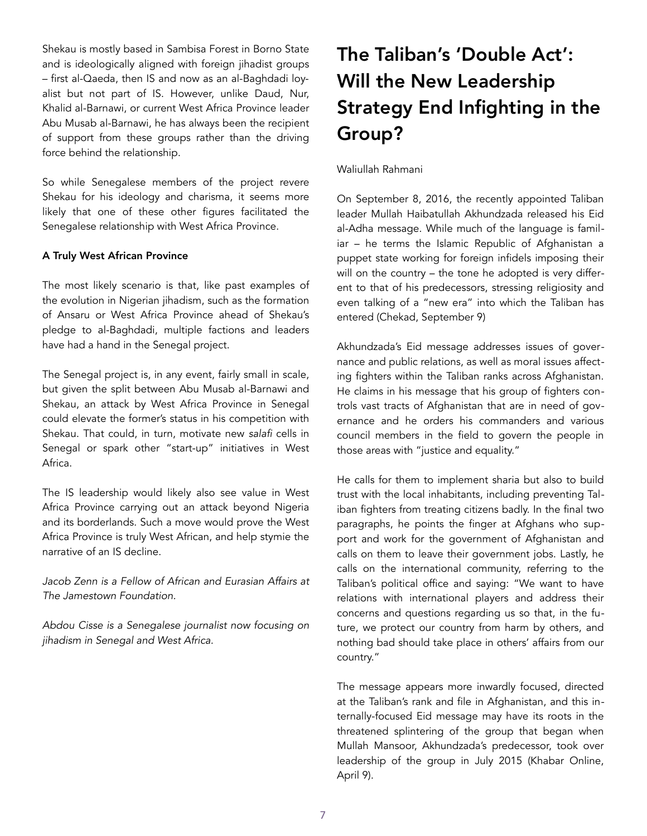Shekau is mostly based in Sambisa Forest in Borno State and is ideologically aligned with foreign jihadist groups – first al-Qaeda, then IS and now as an al-Baghdadi loyalist but not part of IS. However, unlike Daud, Nur, Khalid al-Barnawi, or current West Africa Province leader Abu Musab al-Barnawi, he has always been the recipient of support from these groups rather than the driving force behind the relationship.

So while Senegalese members of the project revere Shekau for his ideology and charisma, it seems more likely that one of these other figures facilitated the Senegalese relationship with West Africa Province.

## A Truly West African Province

The most likely scenario is that, like past examples of the evolution in Nigerian jihadism, such as the formation of Ansaru or West Africa Province ahead of Shekau's pledge to al-Baghdadi, multiple factions and leaders have had a hand in the Senegal project.

The Senegal project is, in any event, fairly small in scale, but given the split between Abu Musab al-Barnawi and Shekau, an attack by West Africa Province in Senegal could elevate the former's status in his competition with Shekau. That could, in turn, motivate new *salafi* cells in Senegal or spark other "start-up" initiatives in West Africa.

The IS leadership would likely also see value in West Africa Province carrying out an attack beyond Nigeria and its borderlands. Such a move would prove the West Africa Province is truly West African, and help stymie the narrative of an IS decline.

*Jacob Zenn is a Fellow of African and Eurasian Affairs at The Jamestown Foundation.* 

*Abdou Cisse is a Senegalese journalist now focusing on jihadism in Senegal and West Africa.* 

# The Taliban's 'Double Act': Will the New Leadership Strategy End Infighting in the Group?

Waliullah Rahmani

On September 8, 2016, the recently appointed Taliban leader Mullah Haibatullah Akhundzada released his Eid al-Adha message. While much of the language is familiar – he terms the Islamic Republic of Afghanistan a puppet state working for foreign infidels imposing their will on the country – the tone he adopted is very different to that of his predecessors, stressing religiosity and even talking of a "new era" into which the Taliban has entered ([Chekad,](http://chekad.tv/%D9%BE%DB%8C%D8%A7%D9%85-%D8%B9%DB%8C%D8%AF%DB%8C-%D8%B1%D9%87%D8%A8%D8%B1-%D8%B7%D8%A7%D9%84%D8%A8%D8%A7%D9%86-%D8%AC%D9%86%DA%AF-%D8%A8%D8%A7-%D8%AE%D8%A7%D8%B1%D8%AC%DB%8C-%D9%87/) September 9)

Akhundzada's Eid message addresses issues of governance and public relations, as well as moral issues affecting fighters within the Taliban ranks across Afghanistan. He claims in his message that his group of fighters controls vast tracts of Afghanistan that are in need of governance and he orders his commanders and various council members in the field to govern the people in those areas with "justice and equality."

He calls for them to implement sharia but also to build trust with the local inhabitants, including preventing Taliban fighters from treating citizens badly. In the final two paragraphs, he points the finger at Afghans who support and work for the government of Afghanistan and calls on them to leave their government jobs. Lastly, he calls on the international community, referring to the Taliban's political office and saying: "We want to have relations with international players and address their concerns and questions regarding us so that, in the future, we protect our country from harm by others, and nothing bad should take place in others' affairs from our country."

The message appears more inwardly focused, directed at the Taliban's rank and file in Afghanistan, and this internally-focused Eid message may have its roots in the threatened splintering of the group that began when Mullah Mansoor, Akhundzada's predecessor, took over leadership of the group in July 2015 ([Khabar Online,](http://www.khabaronline.ir/(X(1)S(0kuziltwyxsxki5gornzlnmd))/detail/525411/World/centeral-asia-caucuses) April 9).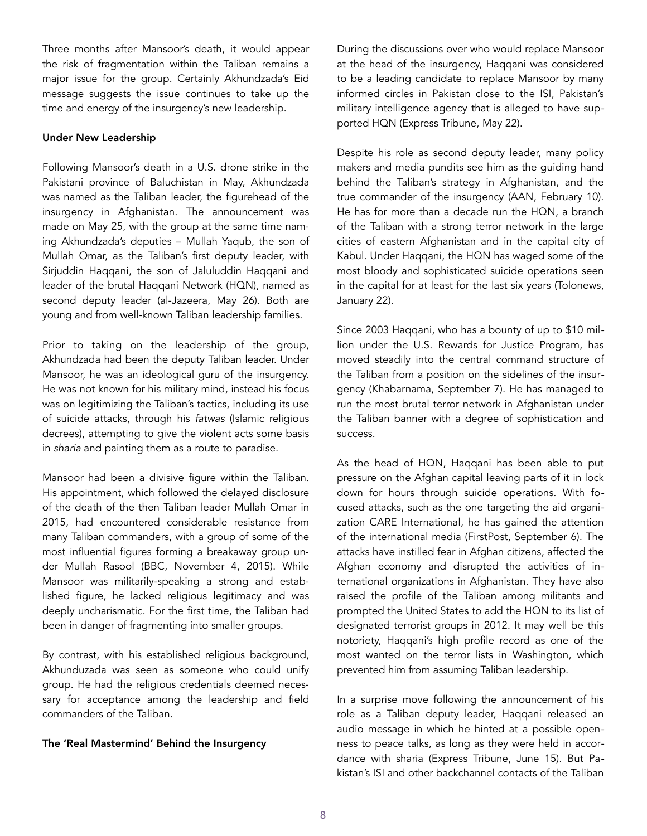Three months after Mansoor's death, it would appear the risk of fragmentation within the Taliban remains a major issue for the group. Certainly Akhundzada's Eid message suggests the issue continues to take up the time and energy of the insurgency's new leadership.

### Under New Leadership

Following Mansoor's death in a U.S. drone strike in the Pakistani province of Baluchistan in May, Akhundzada was named as the Taliban leader, the figurehead of the insurgency in Afghanistan. The announcement was made on May 25, with the group at the same time naming Akhundzada's deputies – Mullah Yaqub, the son of Mullah Omar, as the Taliban's first deputy leader, with Sirjuddin Haqqani, the son of Jaluluddin Haqqani and leader of the brutal Haqqani Network (HQN), named as second deputy leader ([al-Jazeera,](http://www.aljazeera.com/news/2016/05/taliban-leader-mullah-haibatullah-akhunzada-160525161334507.html) May 26). Both are young and from well-known Taliban leadership families.

Prior to taking on the leadership of the group, Akhundzada had been the deputy Taliban leader. Under Mansoor, he was an ideological guru of the insurgency. He was not known for his military mind, instead his focus was on legitimizing the Taliban's tactics, including its use of suicide attacks, through his *fatwas* (Islamic religious decrees), attempting to give the violent acts some basis in *sharia* and painting them as a route to paradise.

Mansoor had been a divisive figure within the Taliban. His appointment, which followed the delayed disclosure of the death of the then Taliban leader Mullah Omar in 2015, had encountered considerable resistance from many Taliban commanders, with a group of some of the most influential figures forming a breakaway group under Mullah Rasool [\(BBC,](http://www.bbc.co.uk/news/world-asia-34719314) November 4, 2015). While Mansoor was militarily-speaking a strong and established figure, he lacked religious legitimacy and was deeply uncharismatic. For the first time, the Taliban had been in danger of fragmenting into smaller groups.

By contrast, with his established religious background, Akhunduzada was seen as someone who could unify group. He had the religious credentials deemed necessary for acceptance among the leadership and field commanders of the Taliban.

## The 'Real Mastermind' Behind the Insurgency

During the discussions over who would replace Mansoor at the head of the insurgency, Haqqani was considered to be a leading candidate to replace Mansoor by many informed circles in Pakistan close to the ISI, Pakistan's military intelligence agency that is alleged to have supported HQN ([Express Tribune](http://tribune.com.pk/story/1108087/sirajuddin-haqqani-may-even-deadly-foe-mansour/), May 22).

Despite his role as second deputy leader, many policy makers and media pundits see him as the guiding hand behind the Taliban's strategy in Afghanistan, and the true commander of the insurgency ([AAN](https://www.afghanistan-analysts.org/the-new-taleban-deputy-leaders-is-there-an-obvious-successor-to-akhtar-mansur/), February 10). He has for more than a decade run the HQN, a branch of the Taliban with a strong terror network in the large cities of eastern Afghanistan and in the capital city of Kabul. Under Haqqani, the HQN has waged some of the most bloody and sophisticated suicide operations seen in the [capital](http://middleeastpress.com/english/nds-arrests-haqqani-suicide-attack-managers-in-kabul/) for at least for the last six years ([Tolonews,](http://www.tolonews.com/en/afghanistan/23420-nds-arrests-8-haqqani-terrorists-in-connection-with-tolo-tv-attack) January 22).

Since 2003 Haqqani, who has a bounty of up to \$10 million under the U.S. Rewards for Justice Program, has moved steadily into the central command structure of the Taliban from a position on the sidelines of the insurgency ([Khabarnama,](http://english.khabarnama.net/2016/09/07/shifting-shadow-of-haqqani-network-in-afghanistan/) September 7). He has managed to run the most brutal terror network in Afghanistan under the Taliban banner with a degree of sophistication and success.

As the head of HQN, Haqqani has been able to put pressure on the Afghan capital leaving parts of it in lock down for hours through suicide operations. With focused attacks, such as the one targeting the aid organization CARE International, he has gained the attention of the international media ([FirstPost,](http://www.firstpost.com/world/kabul-armed-group-attacks-care-international-injures-six-2992424.html) September 6). The attacks have instilled fear in Afghan citizens, affected the Afghan economy and disrupted the activities of international organizations in Afghanistan. They have also raised the profile of the Taliban among militants and prompted the United States to add the HQN to its list of designated terrorist groups in 2012. It may well be this notoriety, Haqqani's high profile record as one of the most wanted on the terror lists in Washington, which prevented him from assuming Taliban leadership.

In a surprise move following the announcement of his role as a Taliban deputy leader, Haqqani released an audio message in which he hinted at a possible openness to peace talks, as long as they were held in accordance with sharia ([Express Tribune](http://tribune.com.pk/story/1123156/rare-audio-message-taliban-open-talks-sharia/), June 15). But Pakistan's ISI and other backchannel contacts of the Taliban